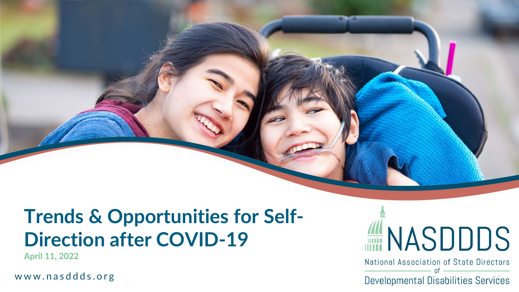### **Trends & Opportunities for Self - Direction after COVID -19**

**April 11, 2022**

www. nasddds.org



National Association of State Directors  $0<sup>f</sup>$ 

Developmental Disabilities Services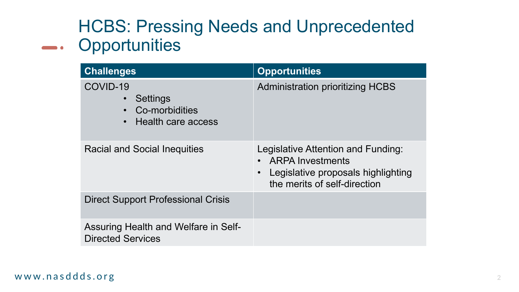#### HCBS: Pressing Needs and Unprecedented **-** Opportunities

| <b>Challenges</b>                                                                      | <b>Opportunities</b>                                                                                                                |
|----------------------------------------------------------------------------------------|-------------------------------------------------------------------------------------------------------------------------------------|
| COVID-19<br>Settings<br>Co-morbidities<br>$\bullet$<br>Health care access<br>$\bullet$ | <b>Administration prioritizing HCBS</b>                                                                                             |
| <b>Racial and Social Inequities</b>                                                    | Legislative Attention and Funding:<br><b>ARPA Investments</b><br>Legislative proposals highlighting<br>the merits of self-direction |
| <b>Direct Support Professional Crisis</b>                                              |                                                                                                                                     |
| Assuring Health and Welfare in Self-<br><b>Directed Services</b>                       |                                                                                                                                     |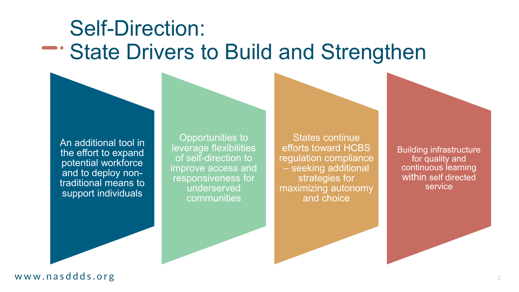### Self-Direction: State Drivers to Build and Strengthen

An additional tool in the effort to expand potential workforce and to deploy nontraditional means to support individuals

Opportunities to leverage flexibilities of self-direction to improve access and responsiveness for underserved communities

States continue efforts toward HCBS regulation compliance – seeking additional strategies for maximizing autonomy and choice

Building infrastructure for quality and continuous learning within self directed service

www. nasddds.org **<sup>3</sup>**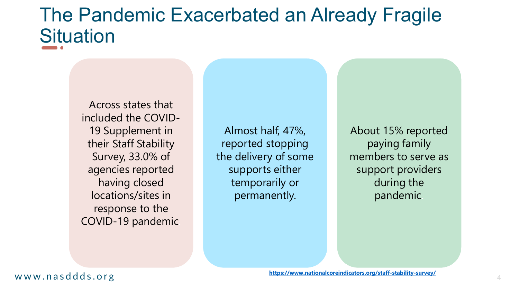### The Pandemic Exacerbated an Already Fragile **Situation**

Across states that included the COVID-19 Supplement in their Staff Stability Survey, 33.0% of agencies reported having closed locations/sites in response to the COVID-19 pandemic.

Almost half, 47%, reported stopping the delivery of some supports either temporarily or permanently.

About 15% reported paying family members to serve as support providers during the pandemic.

#### ww.national.coreling.coreling.coreling.coreling.coreling.coreling.coreling.coreling.coreling.coreling.coreling.coreling.coreling.coreling.coreling.coreling.coreling.coreling.coreling.coreling.coreling.coreling.coreling.cor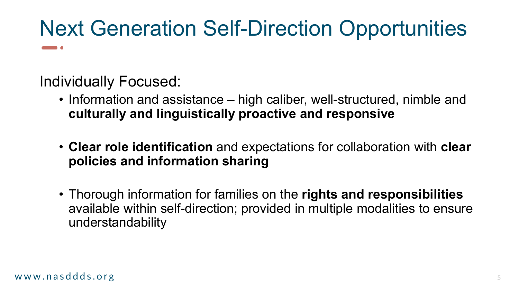# Next Generation Self-Direction Opportunities

Individually Focused:

- Information and assistance high caliber, well-structured, nimble and **culturally and linguistically proactive and responsive**
- **Clear role identification** and expectations for collaboration with **clear policies and information sharing**
- Thorough information for families on the **rights and responsibilities**  available within self-direction; provided in multiple modalities to ensure understandability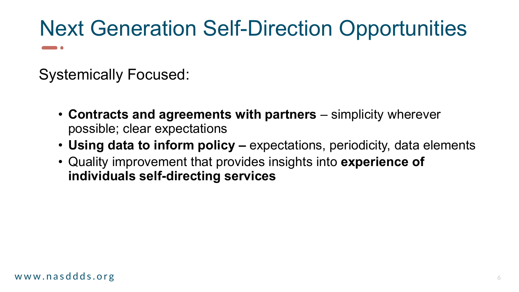# Next Generation Self-Direction Opportunities

Systemically Focused:

- **Contracts and agreements with partners**  simplicity wherever possible; clear expectations
- **Using data to inform policy –** expectations, periodicity, data elements
- Quality improvement that provides insights into **experience of individuals self-directing services**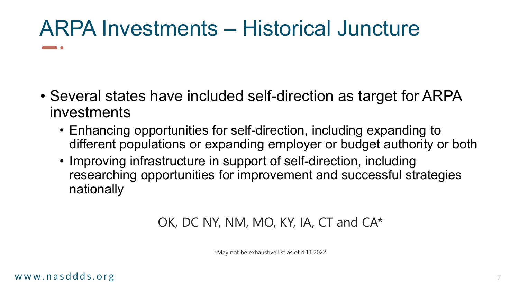## ARPA Investments – Historical Juncture

- Several states have included self-direction as target for ARPA investments
	- Enhancing opportunities for self-direction, including expanding to different populations or expanding employer or budget authority or both
	- Improving infrastructure in support of self-direction, including researching opportunities for improvement and successful strategies nationally

#### OK, DC NY, NM, MO, KY, IA, CT and CA\*

\*May not be exhaustive list as of 4.11.2022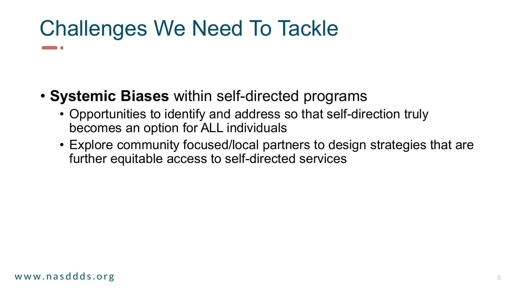## Challenges We Need To Tackle

- **Systemic Biases** within self-directed programs
	- Opportunities to identify and address so that self-direction truly becomes an option for ALL individuals
	- Explore community focused/local partners to design strategies that are further equitable access to self-directed services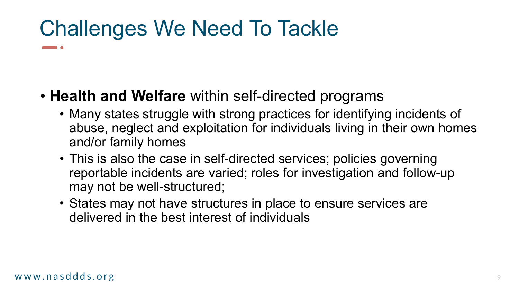## Challenges We Need To Tackle

- **Health and Welfare** within self-directed programs
	- Many states struggle with strong practices for identifying incidents of abuse, neglect and exploitation for individuals living in their own homes and/or family homes
	- This is also the case in self-directed services; policies governing reportable incidents are varied; roles for investigation and follow-up may not be well-structured;
	- States may not have structures in place to ensure services are delivered in the best interest of individuals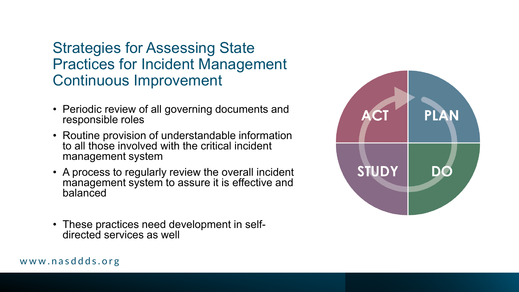#### Strategies for Assessing State Practices for Incident Management Continuous Improvement

- Periodic review of all governing documents and responsible roles
- Routine provision of understandable information to all those involved with the critical incident management system
- A process to regularly review the overall incident management system to assure it is effective and balanced

ww. nasddas.org 100 million and the second second second second second second second second second second second second second second second second second second second second second second second second second second sec

• These practices need development in self- directed services as well



#### www. nasddds.org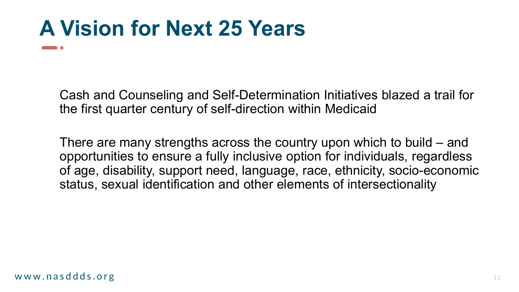## **A Vision for Next 25 Years**

Cash and Counseling and Self-Determination Initiatives blazed a trail for the first quarter century of self-direction within Medicaid

There are many strengths across the country upon which to build – and opportunities to ensure a fully inclusive option for individuals, regardless of age, disability, support need, language, race, ethnicity, socio-economic status, sexual identification and other elements of intersectionality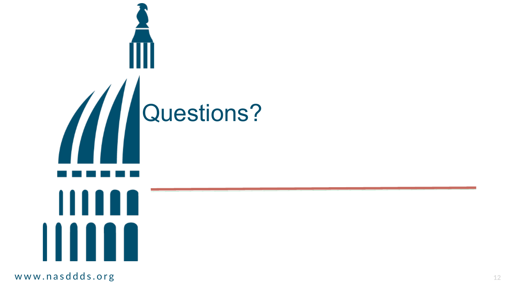